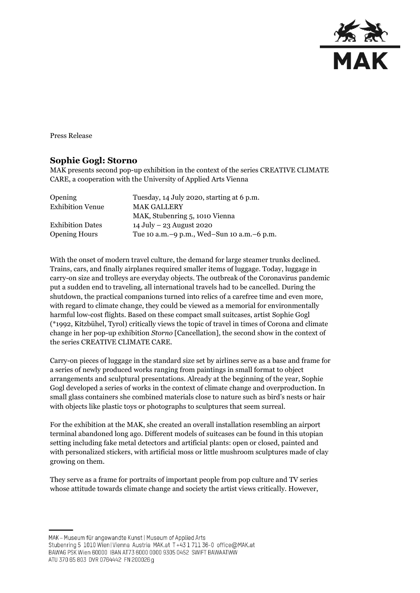

Press Release

## **Sophie Gogl: Storno**

MAK presents second pop-up exhibition in the context of the series CREATIVE CLIMATE CARE, a cooperation with the University of Applied Arts Vienna

| Opening                 | Tuesday, 14 July 2020, starting at 6 p.m.    |
|-------------------------|----------------------------------------------|
| <b>Exhibition Venue</b> | <b>MAK GALLERY</b>                           |
|                         | MAK, Stubenring 5, 1010 Vienna               |
| <b>Exhibition Dates</b> | 14 July – 23 August 2020                     |
| <b>Opening Hours</b>    | Tue 10 a.m. -9 p.m., Wed-Sun 10 a.m. -6 p.m. |

With the onset of modern travel culture, the demand for large steamer trunks declined. Trains, cars, and finally airplanes required smaller items of luggage. Today, luggage in carry-on size and trolleys are everyday objects. The outbreak of the Coronavirus pandemic put a sudden end to traveling, all international travels had to be cancelled. During the shutdown, the practical companions turned into relics of a carefree time and even more, with regard to climate change, they could be viewed as a memorial for environmentally harmful low-cost flights. Based on these compact small suitcases, artist Sophie Gogl (\*1992, Kitzbühel, Tyrol) critically views the topic of travel in times of Corona and climate change in her pop-up exhibition *Storno* [Cancellation], the second show in the context of the series CREATIVE CLIMATE CARE.

Carry-on pieces of luggage in the standard size set by airlines serve as a base and frame for a series of newly produced works ranging from paintings in small format to object arrangements and sculptural presentations. Already at the beginning of the year, Sophie Gogl developed a series of works in the context of climate change and overproduction. In small glass containers she combined materials close to nature such as bird's nests or hair with objects like plastic toys or photographs to sculptures that seem surreal.

For the exhibition at the MAK, she created an overall installation resembling an airport terminal abandoned long ago. Different models of suitcases can be found in this utopian setting including fake metal detectors and artificial plants: open or closed, painted and with personalized stickers, with artificial moss or little mushroom sculptures made of clay growing on them.

They serve as a frame for portraits of important people from pop culture and TV series whose attitude towards climate change and society the artist views critically. However,

MAK - Museum für angewandte Kunst | Museum of Applied Arts

ATU 370 65 803 DVR 0764442 FN 200026 g

Stubenring 5 1010 Wien | Vienna Austria MAK.at T+43 1 711 36-0 office@MAK.at

BAWAG PSK Wien 60000 IBAN AT73 6000 0000 9305 0452 SWIFT BAWAATWW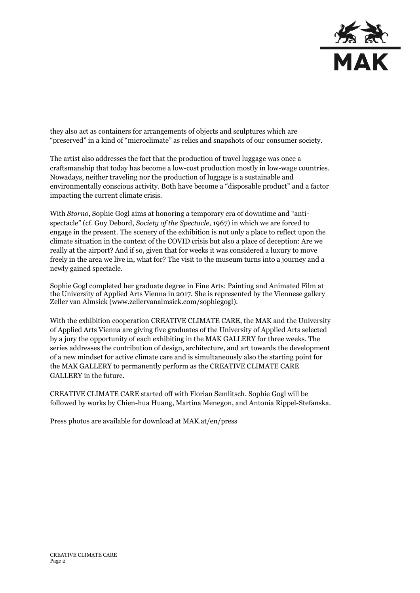

they also act as containers for arrangements of objects and sculptures which are "preserved" in a kind of "microclimate" as relics and snapshots of our consumer society.

The artist also addresses the fact that the production of travel luggage was once a craftsmanship that today has become a low-cost production mostly in low-wage countries. Nowadays, neither traveling nor the production of luggage is a sustainable and environmentally conscious activity. Both have become a "disposable product" and a factor impacting the current climate crisis.

With *Storno*, Sophie Gogl aims at honoring a temporary era of downtime and "antispectacle" (cf. Guy Debord, *Society of the Spectacle*, 1967) in which we are forced to engage in the present. The scenery of the exhibition is not only a place to reflect upon the climate situation in the context of the COVID crisis but also a place of deception: Are we really at the airport? And if so, given that for weeks it was considered a luxury to move freely in the area we live in, what for? The visit to the museum turns into a journey and a newly gained spectacle.

Sophie Gogl completed her graduate degree in Fine Arts: Painting and Animated Film at the University of Applied Arts Vienna in 2017. She is represented by the Viennese gallery Zeller van Almsick [\(www.zellervanalmsick.com/sophiegogl\)](https://www.zellervanalmsick.com/sophiegogl).

With the exhibition cooperation CREATIVE CLIMATE CARE, the MAK and the University of Applied Arts Vienna are giving five graduates of the University of Applied Arts selected by a jury the opportunity of each exhibiting in the MAK GALLERY for three weeks. The series addresses the contribution of design, architecture, and art towards the development of a new mindset for active climate care and is simultaneously also the starting point for the MAK GALLERY to permanently perform as the CREATIVE CLIMATE CARE GALLERY in the future.

CREATIVE CLIMATE CARE started off with Florian Semlitsch. Sophie Gogl will be followed by works by Chien-hua Huang, Martina Menegon, and Antonia Rippel-Stefanska.

Press photos are available for download at MAK.at/en/press